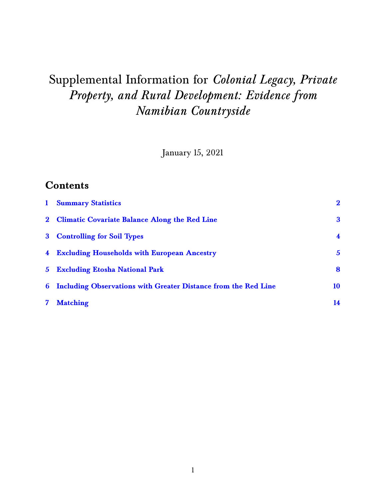# Supplemental Information for *Colonial Legacy, Private Property, and Rural Development: Evidence from Namibian Countryside*

January 15, 2021

#### **Contents**

| $\mathbf{1}$ | <b>Summary Statistics</b>                                        | $\bf{2}$         |
|--------------|------------------------------------------------------------------|------------------|
|              | 2 Climatic Covariate Balance Along the Red Line                  | 3                |
|              | 3 Controlling for Soil Types                                     | $\blacktriangle$ |
|              | 4 Excluding Households with European Ancestry                    | $\mathbf{5}$     |
|              | 5 Excluding Etosha National Park                                 | 8                |
|              | 6 Including Observations with Greater Distance from the Red Line | 10               |
|              | <b>Matching</b>                                                  | 14               |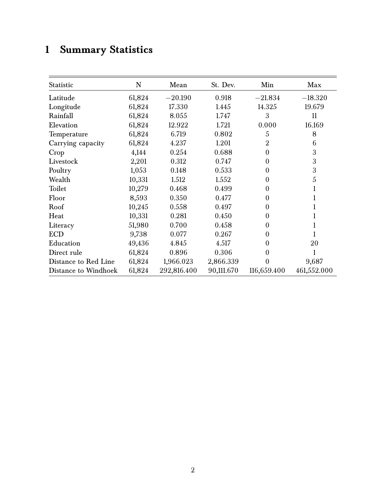# <span id="page-1-0"></span>**1 Summary Statistics**

| Statistic            | ${\bf N}$ | Mean        | St. Dev.   | Min              | Max         |
|----------------------|-----------|-------------|------------|------------------|-------------|
| Latitude             | 61,824    | $-20.190$   | 0.918      | $-21.834$        | $-18.320$   |
| Longitude            | 61,824    | 17.330      | 1.445      | 14.325           | 19.679      |
| Rainfall             | 61,824    | 8.055       | 1.747      | 3                | 11          |
| Elevation            | 61,824    | 12.922      | 1.721      | 0.000            | 16.169      |
| Temperature          | 61,824    | 6.719       | 0.802      | 5                | 8           |
| Carrying capacity    | 61,824    | 4.237       | 1.201      | $\overline{2}$   | 6           |
| Crop                 | 4,144     | 0.254       | 0.688      | $\theta$         | 3           |
| Livestock            | 2,201     | 0.312       | 0.747      | $\boldsymbol{0}$ | 3           |
| Poultry              | 1,053     | 0.148       | 0.533      | $\boldsymbol{0}$ | 3           |
| Wealth               | 10,331    | 1.512       | 1.552      | $\theta$         | 5           |
| Toilet               | 10,279    | 0.468       | 0.499      | $\theta$         |             |
| Floor                | 8,593     | 0.350       | 0.477      | $\theta$         |             |
| Roof                 | 10,245    | 0.558       | 0.497      | $\theta$         |             |
| Heat                 | 10,331    | 0.281       | 0.450      | $\theta$         |             |
| Literacy             | 51,980    | 0.700       | 0.458      | $\theta$         |             |
| <b>ECD</b>           | 9,738     | 0.077       | 0.267      | $\theta$         |             |
| Education            | 49,436    | 4.845       | 4.517      | $\Omega$         | 20          |
| Direct rule          | 61,824    | 0.896       | 0.306      | $\overline{0}$   |             |
| Distance to Red Line | 61,824    | 1,966.023   | 2,866.339  | 0                | 9,687       |
| Distance to Windhoek | 61,824    | 292,816.400 | 90,111.670 | 116,659.400      | 461,552.000 |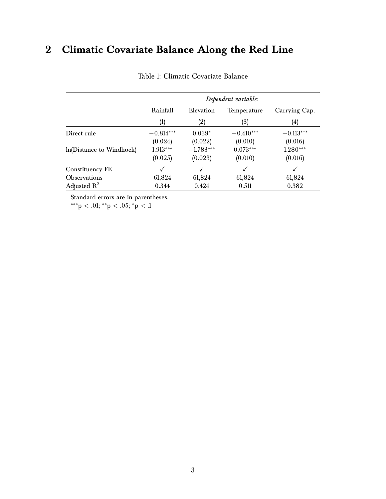# <span id="page-2-0"></span>**2 Climatic Covariate Balance Along the Red Line**

|                          |                  |             | Dependent variable: |               |
|--------------------------|------------------|-------------|---------------------|---------------|
|                          | Rainfall         | Elevation   | Temperature         | Carrying Cap. |
|                          | $\left(1\right)$ | (2)         | (3)                 | (4)           |
| Direct rule              | $-0.814***$      | $0.039*$    | $-0.410***$         | $-0.113***$   |
|                          | (0.024)          | (0.022)     | (0.010)             | (0.016)       |
| ln(Distance to Windhoek) | $1.913***$       | $-1.783***$ | $0.073***$          | $1.280***$    |
|                          | (0.025)          | (0.023)     | (0.010)             | (0.016)       |
| Constituency FE          |                  |             |                     |               |
| <b>Observations</b>      | 61,824           | 61,824      | 61,824              | 61,824        |
| Adjusted $\mathbb{R}^2$  | 0.344            | 0.424       | 0.511               | 0.382         |

Table 1: Climatic Covariate Balance

Standard errors are in parentheses.

 $^{***}\rm{p}$  < .01;  $^{**}\rm{p}$  < .05;  $^{*}\rm{p}$  < .1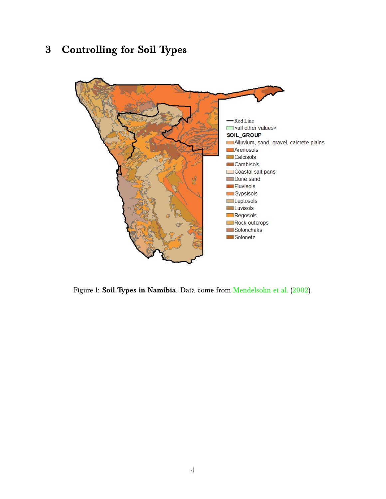# <span id="page-3-0"></span>**3 Controlling for Soil Types**



Figure 1: **Soil Types in Namibia**. Data come from [Mendelsohn et al.](#page-19-0) [\(2002\)](#page-19-0).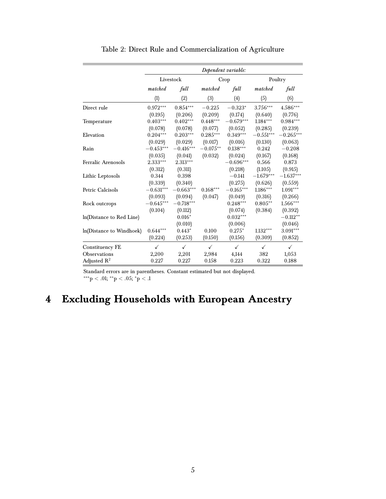|                           |                         |              |              | Dependent variable: |              |              |
|---------------------------|-------------------------|--------------|--------------|---------------------|--------------|--------------|
|                           |                         | Livestock    |              | Crop                |              | Poultry      |
|                           | matched                 | full         | matched      | full                | matched      | full         |
|                           | (1)                     | (2)          | (3)          | (4)                 | (5)          | (6)          |
| Direct rule               | $0.972***$              | $0.854***$   | $-0.225$     | $-0.323*$           | 3.756***     | 4.586***     |
|                           | (0.195)                 | (0.206)      | (0.209)      | (0.174)             | (0.640)      | (0.776)      |
| Temperature               | $0.403***$              | $0.402***$   | $0.448***$   | $-0.679***$         | $1.184***$   | $0.984***$   |
|                           | (0.078)                 | (0.078)      | (0.077)      | (0.052)             | (0.285)      | (0.239)      |
| Elevation                 | $0.204***$              | $0.203***$   | $0.285***$   | $0.349***$          | $-0.551***$  | $-0.265***$  |
|                           | (0.029)                 | (0.029)      | (0.017)      | (0.016)             | (0.130)      | (0.063)      |
| Rain                      | $-0.453^{\ast\ast\ast}$ | $-0.416***$  | $-0.075**$   | $0.138***$          | 0.242        | $-0.208$     |
|                           | (0.035)                 | (0.041)      | (0.032)      | (0.024)             | (0.167)      | (0.168)      |
| <b>Ferralic Arenosols</b> | 2.333***                | 2.313***     |              | $-0.696***$         | 0.566        | 0.873        |
|                           | (0.312)                 | (0.311)      |              | (0.218)             | (1.105)      | (0.915)      |
| Lithic Leptosols          | 0.344                   | 0.398        |              | $-0.141$            | $-1.679***$  | $-1.637***$  |
|                           | (0.339)                 | (0.340)      |              | (0.275)             | (0.626)      | (0.559)      |
| Petric Calcisols          | $-0.631***$             | $-0.663***$  | $0.168***$   | $-0.165***$         | $1.186***$   | $1.091***$   |
|                           | (0.093)                 | (0.094)      | (0.047)      | (0.049)             | (0.316)      | (0.266)      |
| Rock outcrops             | $-0.645***$             | $-0.718***$  |              | $0.248***$          | $0.805**$    | $1.566***$   |
|                           | (0.104)                 | (0.112)      |              | (0.074)             | (0.384)      | (0.392)      |
| In(Distance to Red Line)  |                         | $0.016*$     |              | $0.032***$          |              | $-0.112**$   |
|                           |                         | (0.010)      |              | (0.006)             |              | (0.046)      |
| ln(Distance to Windhoek)  | $0.644***$              | $0.443*$     | 0.100        | $0.275*$            | $1.132***$   | 3.091***     |
|                           | (0.224)                 | (0.253)      | (0.150)      | (0.156)             | (0.309)      | (0.852)      |
| Constituency FE           | $\checkmark$            | $\checkmark$ | $\checkmark$ | $\checkmark$        | $\checkmark$ | $\checkmark$ |
| Observations              | 2,200                   | 2,201        | 2,984        | 4,144               | 382          | 1,053        |
| Adjusted $R^2$            | 0.227                   | 0.227        | 0.158        | 0.223               | 0.322        | 0.188        |

Table 2: Direct Rule and Commercialization of Agriculture

Standard errors are in parentheses. Constant estimated but not displayed.  $\mathrm{^{***}}\mathrm{p} < .01; \mathrm{^{**}}\mathrm{p} < .05; \mathrm{^{*}}\mathrm{p} < .1$ 

# <span id="page-4-0"></span>**4 Excluding Households with European Ancestry**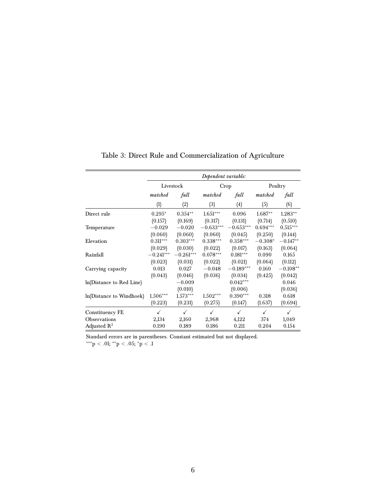|                          |             |              | Dependent variable: |             |              |                     |
|--------------------------|-------------|--------------|---------------------|-------------|--------------|---------------------|
|                          |             | Livestock    |                     | Crop        |              | Poultry             |
|                          | matched     | full         | matched             | full        | matched      | full                |
|                          | (1)         | (2)          | (3)                 | (4)         | (5)          | (6)                 |
| Direct rule              | $0.295*$    | $0.354***$   | $1.651***$          | 0.096       | $1.687**$    | $1.283**$           |
|                          | (0.157)     | (0.169)      | (0.317)             | (0.131)     | (0.714)      | (0.510)             |
| Temperature              | $-0.029$    | $-0.020$     | $-0.633***$         | $-0.653***$ | $0.694***$   | $0.515***$          |
|                          | (0.060)     | (0.060)      | (0.060)             | (0.045)     | (0.250)      | (0.144)             |
| Elevation                | $0.311***$  | $0.303***$   | $0.338***$          | $0.358***$  | $-0.308*$    | $-0.147**$          |
|                          | (0.029)     | (0.030)      | (0.022)             | (0.017)     | (0.163)      | (0.064)             |
| Rainfall                 | $-0.241***$ | $-0.261***$  | $0.078***$          | $0.181***$  | 0.090        | 0.165               |
|                          | (0.023)     | (0.031)      | (0.022)             | (0.021)     | (0.064)      | (0.112)             |
| Carrying capacity        | 0.013       | 0.027        | $-0.048$            | $-0.189***$ | 0.160        | $-0.108^{\ast\ast}$ |
|                          | (0.043)     | (0.046)      | (0.036)             | (0.034)     | (0.425)      | (0.042)             |
| In(Distance to Red Line) |             | $-0.009$     |                     | $0.042***$  |              | 0.046               |
|                          |             | (0.010)      |                     | (0.006)     |              | (0.036)             |
| ln(Distance to Windhoek) | $1.506***$  | $1.573***$   | $1.502***$          | $0.390***$  | 0.318        | 0.618               |
|                          | (0.223)     | (0.231)      | (0.275)             | (0.147)     | (1.637)      | (0.694)             |
| Constituency FE          | ✓           | $\checkmark$ | $\checkmark$        | ✓           | $\checkmark$ | $\checkmark$        |
| Observations             | 2,134       | 2,160        | 2,968               | 4,122       | 374          | 1,049               |
| Adjusted $R^2$           | 0.190       | 0.189        | 0.186               | 0.211       | 0.204        | 0.154               |

Table 3: Direct Rule and Commercialization of Agriculture

Standard errors are in parentheses. Constant estimated but not displayed.

 $^{***}p < .01; ^{**}p < .05; ^{*}p < .1$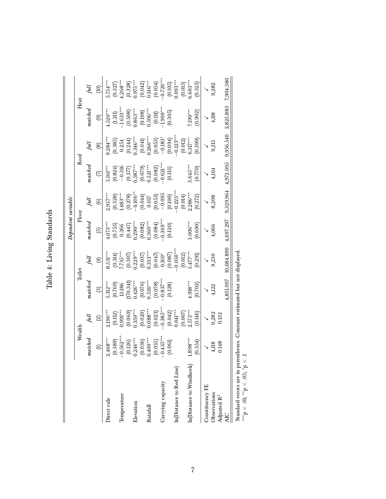|                          |                          |                                                |                                                                   |                                                                                                                        | Dependent variable.                                                                                         |                                                                                                                                                                                                                                                                                                                           |                                                                                                                                     |                                                                                                                                                                                                                                                                                                |                                                    |                                                                                                                                                                                                                                                                                              |
|--------------------------|--------------------------|------------------------------------------------|-------------------------------------------------------------------|------------------------------------------------------------------------------------------------------------------------|-------------------------------------------------------------------------------------------------------------|---------------------------------------------------------------------------------------------------------------------------------------------------------------------------------------------------------------------------------------------------------------------------------------------------------------------------|-------------------------------------------------------------------------------------------------------------------------------------|------------------------------------------------------------------------------------------------------------------------------------------------------------------------------------------------------------------------------------------------------------------------------------------------|----------------------------------------------------|----------------------------------------------------------------------------------------------------------------------------------------------------------------------------------------------------------------------------------------------------------------------------------------------|
|                          | Wealth                   |                                                |                                                                   | Toilet                                                                                                                 | $_{\rm{Floor}}$                                                                                             |                                                                                                                                                                                                                                                                                                                           | Roof                                                                                                                                |                                                                                                                                                                                                                                                                                                | Heat                                               |                                                                                                                                                                                                                                                                                              |
|                          | $\emph{nated}$           |                                                | natchea                                                           |                                                                                                                        | natchea                                                                                                     |                                                                                                                                                                                                                                                                                                                           | $\emph{matched}$                                                                                                                    |                                                                                                                                                                                                                                                                                                | matched                                            |                                                                                                                                                                                                                                                                                              |
|                          | $\in$                    | $\widehat{\mathfrak{D}}$                       | ලු                                                                | Ð                                                                                                                      | $\odot$                                                                                                     | $\odot$                                                                                                                                                                                                                                                                                                                   | $\mathfrak{S}$                                                                                                                      | ම                                                                                                                                                                                                                                                                                              | $\odot$                                            | $\widehat{\Xi}$                                                                                                                                                                                                                                                                              |
| Direct rule              | $2.468***$               | $2.196***$                                     | $5.312***$                                                        | $8.531***$                                                                                                             | $4.073***$                                                                                                  | $2.957***$                                                                                                                                                                                                                                                                                                                | $5.161***$                                                                                                                          | $9.284***$                                                                                                                                                                                                                                                                                     | $4.520***$                                         | $5.754***$                                                                                                                                                                                                                                                                                   |
| Temperature              | $(0.389)$<br>-0.562**    | $(0.112)$<br>$0.991***$                        | $(0.769)$<br>13.186<br>170.341)<br>1.426***<br>(0.076)<br>(0.076) | $\begin{array}{l} (0.314) \\ (0.307) \\ (0.307) \\ (0.307) \\ (0.037) \\ (0.037) \\ (0.047) \\ (0.047) \\ \end{array}$ | $\begin{array}{c} (0.755) \\ 0.366 \\ 0.447) \\ 0.290^{***} \\ 0.082) \\ 0.082) \\ 0.360^{***} \end{array}$ | $\begin{array}{l} (0.328) \\ (1.483^{***} \\ (0.278) \\ (0.278) \\ (0.044) \\ (0.044) \\ (0.053) \\ (0.053) \\ (0.059) \\ (0.100) \\ (0.100) \\ (0.100) \\ (0.100) \\ (0.100) \\ (0.100) \\ (0.100) \\ (0.100) \\ (0.100) \\ (0.100) \\ (0.100) \\ (0.100) \\ (0.100) \\ (0.100) \\ (0.100) \\ (0.100) \\ (0.100) \\ (0.$ | $\begin{array}{l} (0.824) \\ -0.316 \\ (0.377) \\ 0.587^{***} \\ (0.079) \\ 0.521^{***} \\ (0.082) \\ (0.082) \\ 0.003 \end{array}$ | $\begin{array}{c} (0.385)\\ 0.254\\ (0.244)\\ 0.346^{***}\\ (0.041)\\ (0.053)\\ (0.053)\\ (0.053)\\ (0.054)\\ (0.057)\\ (0.034)\\ (0.034)\\ (0.034)\\ (0.034)\\ (0.035)\\ (0.034)\\ (0.035)\\ (0.035)\\ (0.035)\\ (0.036)\\ (0.037)\\ (0.038)\\ (0.038)\\ (0.039)\\ (0.039)\\ (0.039)\\ (0.03$ | $\left( 1.211\right)$ $1.633**$                    | $\begin{array}{l} (0.327)\\ (0.328)\\ (0.328)\\ (0.329)\\ (0.042)\\ (0.042)\\ (0.054)\\ (0.054)\\ (0.059)\\ (0.059)\\ (0.105)\\ (0.105)\\ (0.005)\\ (0.005)\\ (0.005)\\ (0.005)\\ (0.005)\\ (0.005)\\ (0.005)\\ (0.005)\\ (0.005)\\ (0.005)\\ (0.005)\\ (0.005)\\ (0.005)\\ (0.005)\\ (0.00$ |
| Elevation                | $(0.126)$<br>$0.246***$  | $(0.069)$<br>0.359***                          |                                                                   |                                                                                                                        |                                                                                                             |                                                                                                                                                                                                                                                                                                                           |                                                                                                                                     |                                                                                                                                                                                                                                                                                                | $(0.508)$<br>$0.863***$<br>$(0.108)$<br>$0.506***$ |                                                                                                                                                                                                                                                                                              |
|                          |                          |                                                |                                                                   |                                                                                                                        |                                                                                                             |                                                                                                                                                                                                                                                                                                                           |                                                                                                                                     |                                                                                                                                                                                                                                                                                                |                                                    |                                                                                                                                                                                                                                                                                              |
| Rainfall                 | $(0.036)$<br>0.400***    | $(0.020)$<br>$0.088***$                        |                                                                   |                                                                                                                        |                                                                                                             |                                                                                                                                                                                                                                                                                                                           |                                                                                                                                     |                                                                                                                                                                                                                                                                                                |                                                    |                                                                                                                                                                                                                                                                                              |
|                          | $(0.035)$<br>$-0.435***$ | $(0.023)$<br>$-0.385***$                       | $(0.078)$<br>$0.837***$                                           |                                                                                                                        | $(0.084)$<br>0.369***<br>0.120)                                                                             |                                                                                                                                                                                                                                                                                                                           |                                                                                                                                     |                                                                                                                                                                                                                                                                                                | $(0.11)$<br>$1.909***$<br>$(0.305)$                |                                                                                                                                                                                                                                                                                              |
| Carrying capacity        |                          |                                                |                                                                   |                                                                                                                        |                                                                                                             |                                                                                                                                                                                                                                                                                                                           |                                                                                                                                     |                                                                                                                                                                                                                                                                                                |                                                    |                                                                                                                                                                                                                                                                                              |
|                          | (0.061)                  |                                                | (0.128)                                                           | $(0.087)$<br>$0.050***$                                                                                                |                                                                                                             |                                                                                                                                                                                                                                                                                                                           | (0.113)                                                                                                                             |                                                                                                                                                                                                                                                                                                |                                                    |                                                                                                                                                                                                                                                                                              |
| In(Distance to Red Line) |                          | $(0.042)$<br>0.041***<br>$(0.007)$<br>2.573*** |                                                                   |                                                                                                                        |                                                                                                             |                                                                                                                                                                                                                                                                                                                           |                                                                                                                                     |                                                                                                                                                                                                                                                                                                |                                                    |                                                                                                                                                                                                                                                                                              |
| In(Distance to Windhoek) | $.898***$                |                                                | $4.918***$                                                        | $(0.012)$<br>5.477***                                                                                                  | $0.06***$                                                                                                   | $(0.014)$<br>2.286***                                                                                                                                                                                                                                                                                                     | $0.645***$                                                                                                                          | $(0.012)$<br>$6.317***$                                                                                                                                                                                                                                                                        | $0^{\ast\ast}00$                                   | $(0.015)$<br>$0.603***$                                                                                                                                                                                                                                                                      |
|                          | (0.354)                  | (0.146)                                        | (0.702)                                                           | (0.291)                                                                                                                | (0.690)                                                                                                     | (0.272)                                                                                                                                                                                                                                                                                                                   | (0.770)                                                                                                                             | (0.399)                                                                                                                                                                                                                                                                                        | (0.902)                                            | (0.325)                                                                                                                                                                                                                                                                                      |
| Constituency FE          |                          |                                                |                                                                   |                                                                                                                        |                                                                                                             |                                                                                                                                                                                                                                                                                                                           |                                                                                                                                     |                                                                                                                                                                                                                                                                                                |                                                    |                                                                                                                                                                                                                                                                                              |
| Observations             | 4,118                    | 9,282                                          | 4,122                                                             | 9,230                                                                                                                  | 4,066                                                                                                       | 8,208                                                                                                                                                                                                                                                                                                                     | 4,104                                                                                                                               | 9,215                                                                                                                                                                                                                                                                                          | 4,118                                              | 9,282                                                                                                                                                                                                                                                                                        |
| Adjusted R <sup>2</sup>  | 0.148                    | 0.132                                          |                                                                   |                                                                                                                        |                                                                                                             |                                                                                                                                                                                                                                                                                                                           |                                                                                                                                     |                                                                                                                                                                                                                                                                                                |                                                    |                                                                                                                                                                                                                                                                                              |
|                          |                          |                                                | 851.097,                                                          | 10,684.890                                                                                                             | 4.697.297                                                                                                   | 9,329.964                                                                                                                                                                                                                                                                                                                 | 4,972.095                                                                                                                           | 9.956.540                                                                                                                                                                                                                                                                                      | 2,825.883                                          | 7,904.380                                                                                                                                                                                                                                                                                    |
|                          |                          |                                                |                                                                   |                                                                                                                        |                                                                                                             |                                                                                                                                                                                                                                                                                                                           |                                                                                                                                     |                                                                                                                                                                                                                                                                                                |                                                    |                                                                                                                                                                                                                                                                                              |

Table 4: Living Standards Table 4: Living Standards

Standard errors are in parentheses. Constant estimated but not displayed.<br>\*\*\*p < .0i; \*\*p < .05; \*p < .1 Standard errors are in parentheses. Constant estimated but not displayed.

∗∗∗p < .01; ∗∗p < .05; ∗p < .1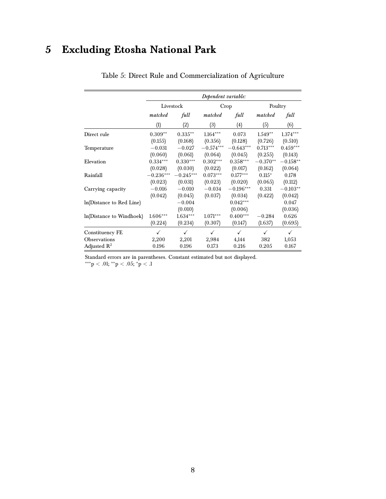# <span id="page-7-0"></span>**5 Excluding Etosha National Park**

|                          |              |              | Dependent variable: |              |              |              |
|--------------------------|--------------|--------------|---------------------|--------------|--------------|--------------|
|                          | Livestock    |              |                     | Crop         | Poultry      |              |
|                          | matched      | full         | matched             | full         | matched      | full         |
|                          | (1)          | (2)          | (3)                 | (4)          | (5)          | (6)          |
| Direct rule              | $0.309**$    | $0.335***$   | $1.164***$          | 0.073        | $1.549**$    | $1.374***$   |
|                          | (0.155)      | (0.168)      | (0.356)             | (0.128)      | (0.726)      | (0.510)      |
| Temperature              | $-0.031$     | $-0.027$     | $-0.574***$         | $-0.643***$  | $0.713***$   | $0.459***$   |
|                          | (0.060)      | (0.061)      | (0.064)             | (0.045)      | (0.255)      | (0.143)      |
| Elevation                | $0.334***$   | $0.330***$   | $0.302***$          | $0.358***$   | $-0.370**$   | $-0.158**$   |
|                          | (0.028)      | (0.030)      | (0.022)             | (0.017)      | (0.162)      | (0.064)      |
| Rainfall                 | $-0.236***$  | $-0.245***$  | $0.073***$          | $0.177***$   | $0.115*$     | 0.178        |
|                          | (0.023)      | (0.031)      | (0.023)             | (0.020)      | (0.065)      | (0.112)      |
| Carrying capacity        | $-0.016$     | $-0.010$     | $-0.034$            | $-0.196***$  | 0.331        | $-0.103**$   |
|                          | (0.042)      | (0.045)      | (0.037)             | (0.034)      | (0.422)      | (0.042)      |
| ln(Distance to Red Line) |              | $-0.004$     |                     | $0.042***$   |              | 0.047        |
|                          |              | (0.010)      |                     | (0.006)      |              | (0.036)      |
| ln(Distance to Windhoek) | $1.606***$   | $1.634***$   | $1.071***$          | $0.400***$   | $-0.284$     | 0.626        |
|                          | (0.224)      | (0.234)      | (0.307)             | (0.147)      | (1.637)      | (0.695)      |
| Constituency FE          | $\checkmark$ | $\checkmark$ | $\checkmark$        | $\checkmark$ | $\checkmark$ | $\checkmark$ |
| Observations             | 2,200        | 2,201        | 2,984               | 4,144        | 382          | 1,053        |
| Adjusted $R^2$           | 0.196        | 0.196        | 0.173               | 0.216        | 0.205        | 0.167        |

#### Table 5: Direct Rule and Commercialization of Agriculture

Standard errors are in parentheses. Constant estimated but not displayed. ∗∗∗p < .01; ∗∗p < .05; <sup>∗</sup>p < .1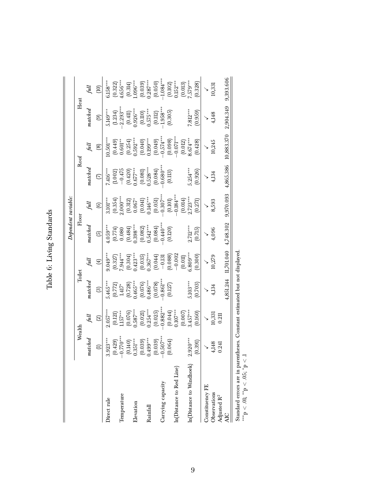|                              |                       |                                                                           |                                                                                                              |                                                                                                                                                 |                                                                                                                                                                        | Dependent variable:                                                         |                                                                            |                                                                                                                                                                                                                                                                                                          |                                                                                                                                                                        |                                                 |
|------------------------------|-----------------------|---------------------------------------------------------------------------|--------------------------------------------------------------------------------------------------------------|-------------------------------------------------------------------------------------------------------------------------------------------------|------------------------------------------------------------------------------------------------------------------------------------------------------------------------|-----------------------------------------------------------------------------|----------------------------------------------------------------------------|----------------------------------------------------------------------------------------------------------------------------------------------------------------------------------------------------------------------------------------------------------------------------------------------------------|------------------------------------------------------------------------------------------------------------------------------------------------------------------------|-------------------------------------------------|
|                              | Wealth                |                                                                           | Toilet                                                                                                       |                                                                                                                                                 | Floor                                                                                                                                                                  |                                                                             |                                                                            | Roof                                                                                                                                                                                                                                                                                                     | Heat                                                                                                                                                                   |                                                 |
|                              | matchea               |                                                                           | natched                                                                                                      |                                                                                                                                                 | $\emph{matched}$                                                                                                                                                       |                                                                             | $_{nated}$                                                                 |                                                                                                                                                                                                                                                                                                          | $\emph{matched}$                                                                                                                                                       |                                                 |
|                              | $\in$                 | $\widehat{\infty}$                                                        | ල                                                                                                            | $\bigoplus$                                                                                                                                     | $\odot$                                                                                                                                                                | $\circledcirc$                                                              | $\odot$                                                                    | ම                                                                                                                                                                                                                                                                                                        | $\circledcirc$                                                                                                                                                         | ЭŐ<br>С                                         |
| Direct rule                  | $3.923***$            | $2.057***$                                                                |                                                                                                              | $9.049***$                                                                                                                                      | $4.059***$                                                                                                                                                             | $3.101***$                                                                  | $7.416***$                                                                 | $0.501***$                                                                                                                                                                                                                                                                                               | $5.149***$                                                                                                                                                             | $5.158***$                                      |
| Temperature                  | $(0.429)$<br>-0.770** | $\begin{array}{c} (0.121) \\ 1.157*** \\ (0.076) \\ 0.587*** \end{array}$ | $\begin{array}{l} 5.465^{***} \ (0.772) \ (0.772) \ 1.417^{*} \ (0.728) \ (0.728) \ 1.465^{***} \end{array}$ | $(0.327)$<br>7.944***                                                                                                                           | $\begin{array}{c} (0.774) \\ 0.080 \\ (0.484) \\ 0.398$ $(0.682) \\ (0.682) \\ 0.542*** \\ (0.084) \\ (0.084) \\ (0.004) \\ (0.004) \\ (0.120) \\ (0.120) \end{array}$ | $(0.354)$<br>2.000***                                                       | $(1.002)$<br>$-0.475$<br>$(0.420)$<br>$(0.67***$<br>$(0.081)$<br>$(0.081)$ | $\begin{array}{l} (0.449)\\ 0.601^{**}\\ 0.604^{**}\\ (0.254)\\ (0.040)\\ (0.040)\\ (0.049)\\ (0.049)\\ (0.049)\\ (0.008)\\ (0.008)\\ (0.01)^{***}\\ (0.01)\\ (0.01)\\ (0.01)\\ (0.01)\\ (0.01)\\ (0.01)\\ (0.02)\\ (0.01)\\ (0.02)\\ (0.01)\\ (0.02)\\ (0.01)\\ (0.02)\\ (0.01)\\ (0.02)\\ (0.02)\\ (0$ | $\begin{array}{c} \text{(1.234)}\\ \text{(2.293)}\\ \text{(0.411)}\\ \text{(0.411)}\\ \text{(0.110)}\\ \text{(0.110)}\\ \text{(0.110)}\\ \text{(0.111)}\\ \end{array}$ | $(0.322)$<br>L.656***                           |
|                              |                       |                                                                           |                                                                                                              |                                                                                                                                                 |                                                                                                                                                                        |                                                                             |                                                                            |                                                                                                                                                                                                                                                                                                          |                                                                                                                                                                        |                                                 |
| Elevation                    | $(0.140)$<br>0.351*** |                                                                           |                                                                                                              | $(0.304)$<br>$0.423***$                                                                                                                         |                                                                                                                                                                        |                                                                             |                                                                            |                                                                                                                                                                                                                                                                                                          |                                                                                                                                                                        | $(0.314)$<br>$(0.96***$                         |
|                              | $(0.039)$<br>0.499*** | $(0.021)$<br>0.254***                                                     | $(0.076)$<br>$0.486***$                                                                                      | $\begin{array}{l} (0.035) \\ 0.367^{***} \\ (0.044) \\ (0.044) \\ (0.038) \\ (0.088) \\ (0.002 \\ (0.011) \\ (0.011) \\ (0.011) \\ \end{array}$ |                                                                                                                                                                        | $\begin{array}{c} (0.312) \\ 0.067^* \\ (0.041) \\ 0.146^{***} \end{array}$ |                                                                            |                                                                                                                                                                                                                                                                                                          |                                                                                                                                                                        | $(0.039)$<br>$0.287***$                         |
| Rainfall                     |                       |                                                                           |                                                                                                              |                                                                                                                                                 |                                                                                                                                                                        |                                                                             |                                                                            |                                                                                                                                                                                                                                                                                                          |                                                                                                                                                                        |                                                 |
|                              | (0.039)               | $(0.025)$<br>$-0.882***$                                                  |                                                                                                              |                                                                                                                                                 |                                                                                                                                                                        | $(0.051)$<br>$-0.307**$                                                     |                                                                            |                                                                                                                                                                                                                                                                                                          | $(0.112)$<br>$1.958**$<br>$(0.305)$                                                                                                                                    |                                                 |
| Carrying capacity            | $-0.507***$           |                                                                           |                                                                                                              |                                                                                                                                                 |                                                                                                                                                                        |                                                                             |                                                                            |                                                                                                                                                                                                                                                                                                          |                                                                                                                                                                        |                                                 |
|                              | (0.064)               | $(0.044)$<br>0.107***<br>0.007)<br>9.457***                               | $\begin{array}{c} (0.078) \\ 0.861^{**} \\ (0.127) \end{array}$                                              |                                                                                                                                                 |                                                                                                                                                                        | $(0.101)$<br>$-0.184***$                                                    | $(0.084)$<br>0.680**                                                       |                                                                                                                                                                                                                                                                                                          |                                                                                                                                                                        | $(0.050)$<br>-1.084***<br>$(0.102)$<br>0.152*** |
| In(Distance to Red Line)     |                       |                                                                           |                                                                                                              |                                                                                                                                                 |                                                                                                                                                                        |                                                                             |                                                                            |                                                                                                                                                                                                                                                                                                          |                                                                                                                                                                        |                                                 |
|                              |                       |                                                                           |                                                                                                              |                                                                                                                                                 |                                                                                                                                                                        | $(0.014)$<br>2.723***                                                       |                                                                            |                                                                                                                                                                                                                                                                                                          |                                                                                                                                                                        | $(0.013)$<br>7.579***                           |
| In(Distance to Windhoek)     | $.920***$             |                                                                           | $5.103***$                                                                                                   |                                                                                                                                                 | $2.712***$                                                                                                                                                             |                                                                             | $0.254***$                                                                 |                                                                                                                                                                                                                                                                                                          | $7.812**$                                                                                                                                                              |                                                 |
|                              | (0.391)               | (0.160)                                                                   | (0.703)                                                                                                      | (0.300)                                                                                                                                         | (0.715)                                                                                                                                                                | (0.271)                                                                     | (0.926)                                                                    | (0.428)                                                                                                                                                                                                                                                                                                  | (0.959)                                                                                                                                                                | (0.328)                                         |
| Constituency FE              |                       |                                                                           |                                                                                                              |                                                                                                                                                 |                                                                                                                                                                        |                                                                             |                                                                            | $\searrow$                                                                                                                                                                                                                                                                                               |                                                                                                                                                                        |                                                 |
| Observations                 | 4,148                 | $\frac{10,331}{0.211}$                                                    | 4,134                                                                                                        | 10,279                                                                                                                                          | 4,096                                                                                                                                                                  | 8,593                                                                       | 4,134                                                                      | 10,245                                                                                                                                                                                                                                                                                                   | 4,148                                                                                                                                                                  | 10,331                                          |
| Adjusted R <sup>2</sup>      | 0.241                 |                                                                           |                                                                                                              |                                                                                                                                                 |                                                                                                                                                                        |                                                                             |                                                                            |                                                                                                                                                                                                                                                                                                          |                                                                                                                                                                        |                                                 |
| AIC                          |                       |                                                                           | ,851.244                                                                                                     | 11,701.040                                                                                                                                      | 4,748.302                                                                                                                                                              | 9,970.093                                                                   | 4,865.386                                                                  | 10,883.370                                                                                                                                                                                                                                                                                               | 2,904.349                                                                                                                                                              | 9,393.606                                       |
| atandand annonces and in nor |                       | Casto attacted but as the local cool                                      |                                                                                                              |                                                                                                                                                 |                                                                                                                                                                        |                                                                             |                                                                            |                                                                                                                                                                                                                                                                                                          |                                                                                                                                                                        |                                                 |

Table 6: Living Standards Table 6: Living Standards

Standard errors are in parentheses. Constant estimated but not displayed.<br>\*\*\*p < .01; \*\*p < .05; \*p < .1 Standard errors are in parentheses. Constant estimated but not displayed.

∗∗∗p < .01; ∗∗p < .05; ∗p < .1

9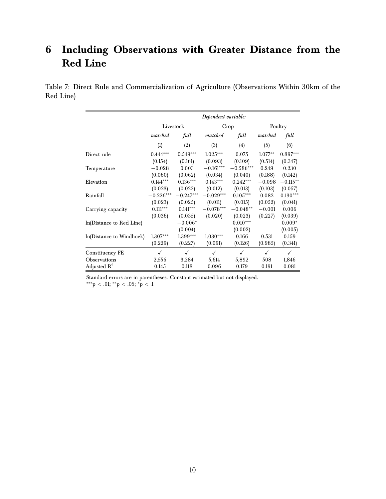### <span id="page-9-0"></span>**6 Including Observations with Greater Distance from the Red Line**

Table 7: Direct Rule and Commercialization of Agriculture (Observations Within 30km of the Red Line)

|                          |              |             | Dependent variable: |              |           |              |
|--------------------------|--------------|-------------|---------------------|--------------|-----------|--------------|
|                          |              | Livestock   |                     | Crop         |           | Poultry      |
|                          | matched      | full        | matched             | full         | matched   | full         |
|                          | (1)          | (2)         | (3)                 | (4)          | (5)       | (6)          |
| Direct rule              | $0.444***$   | $0.549***$  | $1.025^{***}$       | 0.075        | $1.077**$ | $0.897***$   |
|                          | (0.154)      | (0.161)     | (0.093)             | (0.109)      | (0.514)   | (0.347)      |
| Temperature              | $-0.028$     | 0.003       | $-0.161***$         | $-0.586***$  | 0.249     | 0.230        |
|                          | (0.060)      | (0.062)     | (0.034)             | (0.040)      | (0.188)   | (0.142)      |
| Elevation                | $0.144***$   | $0.136***$  | $0.143***$          | $0.242***$   | $-0.098$  | $-0.115***$  |
|                          | (0.023)      | (0.023)     | (0.012)             | (0.013)      | (0.103)   | (0.057)      |
| Rainfall                 | $-0.226***$  | $-0.247***$ | $-0.029***$         | $0.105***$   | 0.082     | $0.130***$   |
|                          | (0.023)      | (0.025)     | (0.011)             | (0.015)      | (0.052)   | (0.041)      |
| Carrying capacity        | $0.111***$   | $0.141***$  | $-0.078***$         | $-0.048**$   | $-0.001$  | 0.006        |
|                          | (0.036)      | (0.035)     | (0.020)             | (0.023)      | (0.227)   | (0.039)      |
| ln(Distance to Red Line) |              | $-0.006*$   |                     | $0.010***$   |           | $0.009*$     |
|                          |              | (0.004)     |                     | (0.002)      |           | (0.005)      |
| ln(Distance to Windhoek) | $1.307***$   | 1.399***    | $1.030***$          | 0.166        | 0.531     | 0.159        |
|                          | (0.229)      | (0.227)     | (0.091)             | (0.126)      | (0.985)   | (0.341)      |
| Constituency FE          | $\checkmark$ | ✓           | $\checkmark$        | $\checkmark$ | ✓         | $\checkmark$ |
| <b>Observations</b>      | 2,556        | 3,284       | 5,614               | 5,892        | 508       | 1,846        |
| Adjusted $R^2$           | 0.145        | 0.118       | 0.096               | 0.179        | 0.191     | 0.081        |

Standard errors are in parentheses. Constant estimated but not displayed. ∗∗∗p < .01; ∗∗p < .05; <sup>∗</sup>p < .1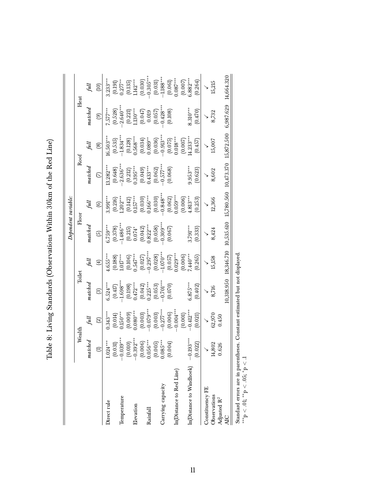|                          |                       |                          |                          |                         |                                                                                                      | Dependent variable:                               |                                                                                                  |                                                                                            |                                          |                         |
|--------------------------|-----------------------|--------------------------|--------------------------|-------------------------|------------------------------------------------------------------------------------------------------|---------------------------------------------------|--------------------------------------------------------------------------------------------------|--------------------------------------------------------------------------------------------|------------------------------------------|-------------------------|
|                          | Wealth                |                          | Toilet                   |                         | Floor                                                                                                |                                                   |                                                                                                  | Roof                                                                                       | Heat                                     |                         |
|                          | natched               | full                     | matched                  |                         | $\emph{matched}$                                                                                     | full                                              | $match$                                                                                          | full                                                                                       | $\emph{matched}$                         |                         |
|                          | $\in$                 | $\mathfrak{D}$           | ලු                       | $\bigoplus$             | $\odot$                                                                                              | $\odot$                                           | $\mathfrak{D}$                                                                                   | @                                                                                          | ම                                        | $\widehat{\Xi}$         |
| Direct rule              | $.024***$             | $0.343***$               | $6.524***$               | $4.655***$              | $6.759***$                                                                                           | $3.991***$                                        | $3.282**$                                                                                        | $6.503**$                                                                                  | 7.577***                                 | $3.233***$              |
|                          | (0.031)               | $(0.014)$<br>0.150***    | $(0.417)$<br>-1.698***   | $(0.188)$<br>1.017***   | $(0.378)$<br>-1.486***                                                                               |                                                   |                                                                                                  | $(0.535)$<br>-1.834***                                                                     | $(0.528)$<br>$-2.640***$                 | $(0.191)$<br>$0.277**$  |
| Temperature              | $-0.039***$           |                          |                          |                         |                                                                                                      |                                                   |                                                                                                  |                                                                                            |                                          |                         |
| Elevation                | $-0.392**$<br>(0.010) | $(0.009)$<br>$0.080***$  | $(0.198)$<br>$0.472***$  | $(0.106)$<br>0.547***   | $\begin{array}{c} (0.215) \\ 0.074^* \\ (0.042) \\ 0.822^{***} \\ (0.058) \\ (0.058) \\ \end{array}$ | $(0.216)$<br>$(202***$<br>$(0.142)$<br>$0.157***$ | $\begin{array}{l} (0.648)\ -2.636^{***}\ (0.212)\ 0.395^{***}\ (0.049)\ 0.433^{***} \end{array}$ | $(0.128)$<br>$0.568***$                                                                    | $(0.221)$<br>1.130***                    | $(0.135)$<br>1.142***   |
|                          | (0.006)               | $(0.003)$<br>$-0.079***$ | $(0.042)$<br>0.225***    | (0.027)                 |                                                                                                      | $(0.030)$<br>$0.166***$                           |                                                                                                  | $\begin{array}{c} (0.034) \\ 0.089^{**} \\ (0.036) \\ (0.036) \\ -0.913^{***} \end{array}$ | $(0.047)$<br>0.019<br>0.057)<br>0.428*** | $(0.030)$<br>$0.305***$ |
| Rainfall                 | $0.056***$            |                          |                          |                         |                                                                                                      |                                                   |                                                                                                  |                                                                                            |                                          |                         |
|                          | (0.005)               | $(0.003)$<br>-0.277***   | $(0.053)$<br>$-0.701***$ | $(0.028)$<br>-1.070***  |                                                                                                      | $(0.030)$<br>$0.848***$                           | $(0.062)$<br>$-0.577***$<br>$(0.068)$                                                            |                                                                                            |                                          | $(0.031)$<br>-1.188***  |
| Carrying capacity        | $0.085***$            |                          |                          |                         |                                                                                                      |                                                   |                                                                                                  |                                                                                            |                                          |                         |
|                          | (0.004)               | $(0.006)$<br>$-0.004***$ | (0.070)                  | $(0.057)$<br>$0.029***$ | (0.067)                                                                                              | $(0.062)$<br>$0.059***$                           |                                                                                                  | $(0.075)$<br>$0.018***$                                                                    | (0.108)                                  | $(0.061)$<br>$0.087***$ |
| In(Distance to Red Line) |                       |                          |                          |                         |                                                                                                      |                                                   |                                                                                                  |                                                                                            |                                          |                         |
|                          |                       | $(0.001)$<br>$-0.412***$ |                          | $(0.006)$<br>7.440***   |                                                                                                      | $(0.006)$<br>4.813***                             |                                                                                                  | $(0.007)$<br>4.233***                                                                      |                                          | $(0.007)$<br>$5.882***$ |
| In(Distance to Windhoek) | $0.193**$             |                          | $0.875***$               |                         | $3.791***$                                                                                           |                                                   | $0.953***$                                                                                       |                                                                                            | $8.310***$                               |                         |
|                          | (0.022)               | (0.021)                  | (0.402)                  | (0.265)                 | (0.333)                                                                                              | (0.253)                                           | (0.623)                                                                                          | (0.457)                                                                                    | (0.470)                                  | (0.264)                 |
| Constituency FE          |                       |                          |                          |                         |                                                                                                      |                                                   |                                                                                                  |                                                                                            |                                          |                         |
| Observations             | 14,802                | 62,970                   | 8,716                    | 15,158                  | 8,424                                                                                                | 12,366                                            | 8,602                                                                                            | 15,007                                                                                     | 8,732                                    | 15,215                  |
| Adjusted R <sup>2</sup>  | 0.626                 | 0.450                    |                          |                         |                                                                                                      |                                                   |                                                                                                  |                                                                                            |                                          |                         |
| ДŊ                       |                       |                          | 10,318.950               | 18,346.710              | 10,535.610                                                                                           | 15,780.560                                        | 10,473.370                                                                                       | 15,872.500                                                                                 | 6,987.629                                | 14,664.320              |
|                          |                       |                          | $-1.7$                   | $\frac{1}{2}$           |                                                                                                      |                                                   |                                                                                                  |                                                                                            |                                          |                         |

Table 8: Living Standards (Observations Within 30km of the Red Line) Table 8: Living Standards (Observations Within 30km of the Red Line)

Standard errors are in parentheses. Constant estimated but not displayed.

∗∗∗p < .01; ∗∗p < .05; Standard errors are in parentheses. Constant estimated but not displayed.<br> \*\*\*p < .01; \*\*p < .05; \*p < .1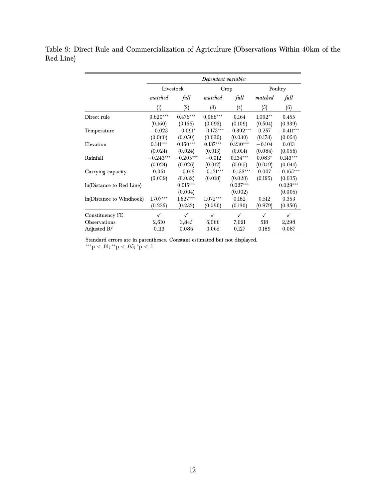Table 9: Direct Rule and Commercialization of Agriculture (Observations Within 40km of the Red Line)

|                          |             |             | Dependent variable: |             |           |             |
|--------------------------|-------------|-------------|---------------------|-------------|-----------|-------------|
|                          |             | Livestock   |                     | Crop        |           | Poultry     |
|                          | matched     | full        | matched             | full        | matched   | full        |
|                          | (1)         | (2)         | (3)                 | (4)         | (5)       | (6)         |
| Direct rule              | $0.620***$  | $0.476***$  | $0.966***$          | 0.164       | $1.092**$ | 0.455       |
|                          | (0.160)     | (0.166)     | (0.093)             | (0.109)     | (0.504)   | (0.339)     |
| Temperature              | $-0.023$    | $-0.091*$   | $-0.173***$         | $-0.392***$ | 0.257     | $-0.411***$ |
|                          | (0.060)     | (0.050)     | (0.030)             | (0.030)     | (0.173)   | (0.054)     |
| Elevation                | $0.141***$  | $0.160***$  | $0.137***$          | $0.230***$  | $-0.104$  | 0.013       |
|                          | (0.024)     | (0.024)     | (0.013)             | (0.014)     | (0.084)   | (0.056)     |
| Rainfall                 | $-0.243***$ | $-0.205***$ | $-0.012$            | $0.134***$  | $0.083*$  | $0.143***$  |
|                          | (0.024)     | (0.026)     | (0.012)             | (0.015)     | (0.049)   | (0.044)     |
| Carrying capacity        | 0.061       | $-0.015$    | $-0.121***$         | $-0.133***$ | 0.007     | $-0.165***$ |
|                          | (0.039)     | (0.032)     | (0.018)             | (0.020)     | (0.195)   | (0.035)     |
| ln(Distance to Red Line) |             | $0.015***$  |                     | $0.027***$  |           | $0.029***$  |
|                          |             | (0.004)     |                     | (0.002)     |           | (0.005)     |
| ln(Distance to Windhoek) | $1.707***$  | $1.627***$  | $1.072***$          | 0.182       | 0.512     | 0.353       |
|                          | (0.235)     | (0.232)     | (0.090)             | (0.130)     | (0.879)   | (0.350)     |
| Constituency FE          | ✓           | ✓           | ✓                   | ✓           | ✓         | ✓           |
| Observations             | 2,610       | 3,845       | 6,066               | 7,021       | 518       | 2,298       |
| Adjusted $R^2$           | 0.113       | 0.086       | 0.065               | 0.127       | 0.189     | 0.087       |

Standard errors are in parentheses. Constant estimated but not displayed.

 $*^{**}p < .01; *^{*}p < .05; *p < .1$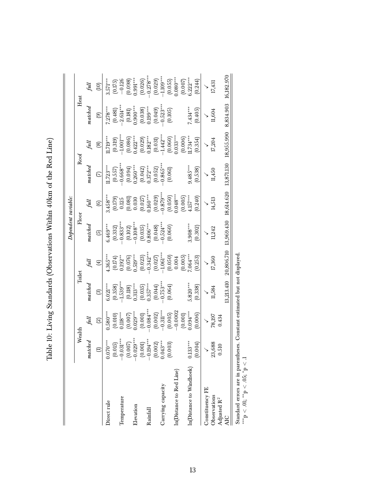|                          |                         |                                                                                                                   |                                                    |                                                                                                                                                                         |                                                                                                                                               | Dependent variable:                                                  |                                                                                                                                                                                                                                                                                                                           |                                          |                                                                 |                                                                                                                                                                                             |
|--------------------------|-------------------------|-------------------------------------------------------------------------------------------------------------------|----------------------------------------------------|-------------------------------------------------------------------------------------------------------------------------------------------------------------------------|-----------------------------------------------------------------------------------------------------------------------------------------------|----------------------------------------------------------------------|---------------------------------------------------------------------------------------------------------------------------------------------------------------------------------------------------------------------------------------------------------------------------------------------------------------------------|------------------------------------------|-----------------------------------------------------------------|---------------------------------------------------------------------------------------------------------------------------------------------------------------------------------------------|
|                          | Wealth                  |                                                                                                                   |                                                    | Toilet                                                                                                                                                                  | Floor                                                                                                                                         |                                                                      |                                                                                                                                                                                                                                                                                                                           | Roof                                     | Heat                                                            |                                                                                                                                                                                             |
|                          | atched<br>z             | full                                                                                                              | matchea                                            |                                                                                                                                                                         | matchea                                                                                                                                       |                                                                      | $\emph{matched}$                                                                                                                                                                                                                                                                                                          | full                                     | natchea                                                         | full                                                                                                                                                                                        |
|                          | $\oplus$                | $\widehat{\mathfrak{D}}$                                                                                          | ල                                                  | $\bigoplus$                                                                                                                                                             | $\overline{5}$                                                                                                                                | $\circledcirc$                                                       | $\odot$                                                                                                                                                                                                                                                                                                                   | <u>ම</u>                                 | $\odot$                                                         | (10)                                                                                                                                                                                        |
| Direct rule              | $0.070***$              | $0.580***$                                                                                                        | $6.021***$                                         | $0.365***$                                                                                                                                                              | $6.469***$                                                                                                                                    | $0.458***$                                                           | $1.723***$                                                                                                                                                                                                                                                                                                                | $1.719***$                               | $7.278***$                                                      | $3.571***$                                                                                                                                                                                  |
| Temperature              | $0.031***$<br>(0.015)   | $(0.010)$<br>$0.118***$<br>$(0.007)$<br>$0.029***$                                                                | $(0.358)$ <sup>--**</sup>                          | $\begin{array}{l} (0.174) \\ 0.192^{**} \\ 0.619^{**} \\ 0.519^{***} \\ (0.023) \\ (0.0242^{***} \\ (0.027) \\ (0.050) \\ (0.050) \\ (0.050) \\ (0.004) \\ \end{array}$ | $\begin{array}{l} (0.332)\\ -0.833^{***} \\ (0.102)\\ -0.108^{***} \\ (0.035)\\ (0.036^{***} \\ (0.048)\\ (0.048)\\ -0.524^{***} \end{array}$ | $(0.179)$<br>$0.125$<br>$(0.081)$<br>$0.030$<br>$(0.027)$<br>$0.030$ | $\begin{array}{l} (0.557) \\ -0.668^{**} \\ (0.094) \\ 0.260^{***} \\ (0.042) \\ 0.372^{***} \\ (0.052) \\ (0.054) \\ (0.054) \\ (0.054) \\ (0.054) \\ (0.005) \\ (0.001) \\ (0.001) \\ (0.001) \\ (0.001) \\ (0.001) \\ (0.002) \\ (0.003) \\ (0.003) \\ (0.000) \\ (0.001) \\ (0.001) \\ (0.001) \\ (0.001) \\ (0.001)$ | $(0.319)$<br>-1.001***                   | $(0.481)$<br>$-2.614***$                                        | $\begin{array}{l} (0.175) \\ -0.126 \\ (0.098) \\ (0.991^{***} \\ (0.091^{***} \\ (0.026)^{*}} \\ (0.026) \\ (0.029) \\ (-1.109^{***} \\ -1.109^{***} \\ (0.055) \\ (0.059) \\ \end{array}$ |
|                          | (0.007)                 |                                                                                                                   |                                                    |                                                                                                                                                                         |                                                                                                                                               |                                                                      |                                                                                                                                                                                                                                                                                                                           |                                          |                                                                 |                                                                                                                                                                                             |
| Elevation                | $0.029***$              |                                                                                                                   | $\begin{array}{c} (0.118) \\ 0.313*** \end{array}$ |                                                                                                                                                                         |                                                                                                                                               |                                                                      |                                                                                                                                                                                                                                                                                                                           |                                          |                                                                 |                                                                                                                                                                                             |
|                          | (0.001)                 | $(0.001)$<br>$0.084***$                                                                                           | $(0.035)$<br>0.357***<br>(0.044)<br>0.753****      |                                                                                                                                                                         |                                                                                                                                               |                                                                      |                                                                                                                                                                                                                                                                                                                           | $(0.086)$<br>0.422***<br>0.029)<br>0.029 | $(0.181)$<br>$0.900***$<br>$(0.038)$<br>$(0.038)$<br>$0.199***$ |                                                                                                                                                                                             |
| Rainfall                 | $0.194***$              |                                                                                                                   |                                                    |                                                                                                                                                                         |                                                                                                                                               |                                                                      |                                                                                                                                                                                                                                                                                                                           |                                          |                                                                 |                                                                                                                                                                                             |
|                          | $(0.002)$<br>$0.043***$ | $\begin{array}{c} (0.002) \\ -0.311^{***} \\ (0.005) \\ -0.0002 \\ (0.001) \\ (0.001) \\ 0.004^{***} \end{array}$ |                                                    |                                                                                                                                                                         |                                                                                                                                               | $(0.029)$<br>$-0.879***$<br>$(0.050)$<br>$(0.050)$<br>$0.048***$     |                                                                                                                                                                                                                                                                                                                           | $(0.031)$<br>-1.442***                   | $(0.049)$<br>$0.523***$                                         |                                                                                                                                                                                             |
| Carrying capacity        |                         |                                                                                                                   |                                                    |                                                                                                                                                                         |                                                                                                                                               |                                                                      |                                                                                                                                                                                                                                                                                                                           |                                          |                                                                 |                                                                                                                                                                                             |
|                          | (0.003)                 |                                                                                                                   | (0.064)                                            |                                                                                                                                                                         |                                                                                                                                               |                                                                      |                                                                                                                                                                                                                                                                                                                           | $(0.060)$<br>$0.033***$                  | (0.105)                                                         |                                                                                                                                                                                             |
| In(Distance to Red Line) |                         |                                                                                                                   |                                                    |                                                                                                                                                                         |                                                                                                                                               |                                                                      |                                                                                                                                                                                                                                                                                                                           |                                          |                                                                 |                                                                                                                                                                                             |
|                          |                         |                                                                                                                   |                                                    | $(0.005)$<br>7.064***                                                                                                                                                   |                                                                                                                                               | $(0.005)$<br>4.157***                                                |                                                                                                                                                                                                                                                                                                                           | $(0.006)$<br>1.734***                    |                                                                 | $(0.007)$<br>5.222***                                                                                                                                                                       |
| In(Distance to Windhoek) | $0.133***$              |                                                                                                                   | $6.820***$                                         |                                                                                                                                                                         | $3.908***$                                                                                                                                    |                                                                      | $0.485***$                                                                                                                                                                                                                                                                                                                |                                          | .434***                                                         |                                                                                                                                                                                             |
|                          | (0.004)                 | (0.006)                                                                                                           | (0.338)                                            | (0.253)                                                                                                                                                                 | (0.302)                                                                                                                                       | (0.240)                                                              | (0.538)                                                                                                                                                                                                                                                                                                                   | (0.354)                                  | (0.405)                                                         | (0.244)                                                                                                                                                                                     |
| Constituency FE          |                         |                                                                                                                   |                                                    | $\checkmark$                                                                                                                                                            |                                                                                                                                               |                                                                      |                                                                                                                                                                                                                                                                                                                           |                                          |                                                                 |                                                                                                                                                                                             |
| Observations             | 23,688                  | $\frac{6}{18,197}$                                                                                                | 11,584                                             | 17,360                                                                                                                                                                  | 11,242                                                                                                                                        | 14,513                                                               | 11,450                                                                                                                                                                                                                                                                                                                    | 17,204                                   | 1,604                                                           | 17,431                                                                                                                                                                                      |
| Adjusted R <sup>2</sup>  | 0.510                   | 0.434                                                                                                             |                                                    |                                                                                                                                                                         |                                                                                                                                               |                                                                      |                                                                                                                                                                                                                                                                                                                           |                                          |                                                                 |                                                                                                                                                                                             |
| <b>AIC</b>               |                         |                                                                                                                   | 3,213.410                                          | 20,806.710                                                                                                                                                              | 13,969.430                                                                                                                                    | 18,614.620                                                           | 13,871.130                                                                                                                                                                                                                                                                                                                | 18,955.990                               | 8,834.903                                                       | 16,182.970                                                                                                                                                                                  |
|                          |                         |                                                                                                                   | $\frac{1}{2}$                                      | $\ddot{ }$                                                                                                                                                              |                                                                                                                                               |                                                                      |                                                                                                                                                                                                                                                                                                                           |                                          |                                                                 |                                                                                                                                                                                             |

Table 10: Living Standards (Observations Within 40km of the Red Line) Table 10: Living Standards (Observations Within 40km of the Red Line)

Standard errors are in parentheses. Constant estimated but not displayed. Standard errors are in parentheses. Constant estimated but not displayed.<br>\*\*\*p < .01; \*\*p < .05; \*p < .1

∗∗∗p < .01; ∗∗p < .05;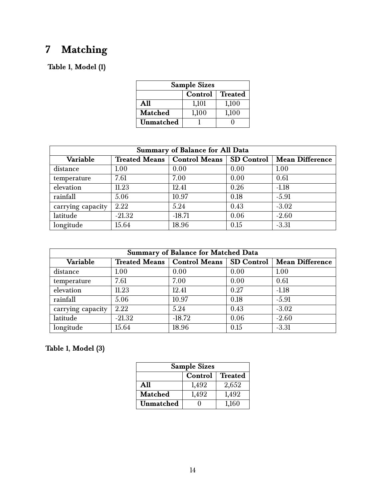# <span id="page-13-0"></span>**7 Matching**

#### **Table 1, Model (1)**

| <b>Sample Sizes</b>       |       |       |  |  |  |
|---------------------------|-------|-------|--|--|--|
| <b>Treated</b><br>Control |       |       |  |  |  |
| A11                       | 1,101 | 1,100 |  |  |  |
| Matched<br>1,100<br>1,100 |       |       |  |  |  |
| Unmatched                 |       |       |  |  |  |

| <b>Summary of Balance for All Data</b> |                      |                      |                   |                        |
|----------------------------------------|----------------------|----------------------|-------------------|------------------------|
| Variable                               | <b>Treated Means</b> | <b>Control Means</b> | <b>SD Control</b> | <b>Mean Difference</b> |
| distance                               | 1.00                 | 0.00                 | 0.00              | 1.00                   |
| temperature                            | 7.61                 | 7.00                 | 0.00              | 0.61                   |
| elevation                              | 11.23                | 12.41                | 0.26              | $-1.18$                |
| rainfall                               | 5.06                 | 10.97                | 0.18              | $-5.91$                |
| carrying capacity                      | 2.22                 | 5.24                 | 0.43              | $-3.02$                |
| latitude                               | $-21.32$             | $-18.71$             | 0.06              | $-2.60$                |
| longitude                              | 15.64                | 18.96                | 0.15              | $-3.31$                |

| <b>Summary of Balance for Matched Data</b> |                      |                      |                   |                        |
|--------------------------------------------|----------------------|----------------------|-------------------|------------------------|
| Variable                                   | <b>Treated Means</b> | <b>Control Means</b> | <b>SD</b> Control | <b>Mean Difference</b> |
| distance                                   | 1.00                 | 0.00                 | 0.00              | 1.00                   |
| temperature                                | 7.61                 | 7.00                 | 0.00              | 0.61                   |
| elevation                                  | 11.23                | 12.41                | 0.27              | $-1.18$                |
| rainfall                                   | 5.06                 | 10.97                | 0.18              | $-5.91$                |
| carrying capacity                          | 2.22                 | 5.24                 | 0.43              | $-3.02$                |
| latitude                                   | $-21.32$             | $-18.72$             | 0.06              | $-2.60$                |
| longitude                                  | 15.64                | 18.96                | 0.15              | $-3.31$                |

### **Table 1, Model (3)**

| <b>Sample Sizes</b>              |       |       |  |  |  |
|----------------------------------|-------|-------|--|--|--|
| <b>Treated</b><br>Control        |       |       |  |  |  |
| A11                              | 1,492 | 2,652 |  |  |  |
| <b>Matched</b><br>1,492<br>1,492 |       |       |  |  |  |
| <b>Unmatched</b>                 |       | 1,160 |  |  |  |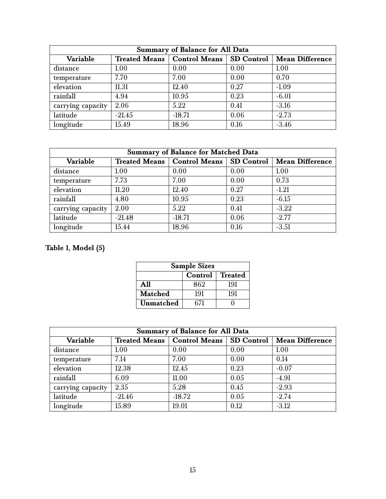| <b>Summary of Balance for All Data</b> |                      |                            |      |                        |
|----------------------------------------|----------------------|----------------------------|------|------------------------|
| Variable                               | <b>Treated Means</b> | Control Means   SD Control |      | <b>Mean Difference</b> |
| distance                               | 1.00                 | 0.00                       | 0.00 | 1.00                   |
| temperature                            | 7.70                 | 7.00                       | 0.00 | 0.70                   |
| elevation                              | 11.31                | 12.40                      | 0.27 | $-1.09$                |
| rainfall                               | 4.94                 | 10.95                      | 0.23 | $-6.01$                |
| carrying capacity                      | 2.06                 | 5.22                       | 0.41 | $-3.16$                |
| latitude                               | $-21.45$             | $-18.71$                   | 0.06 | $-2.73$                |
| longitude                              | 15.49                | 18.96                      | 0.16 | $-3.46$                |

| <b>Summary of Balance for Matched Data</b> |                      |                      |                   |                        |
|--------------------------------------------|----------------------|----------------------|-------------------|------------------------|
| Variable                                   | <b>Treated Means</b> | <b>Control Means</b> | <b>SD</b> Control | <b>Mean Difference</b> |
| distance                                   | 1.00                 | 0.00                 | 0.00              | 1.00                   |
| temperature                                | 7.73                 | 7.00                 | 0.00              | 0.73                   |
| elevation                                  | 11.20                | 12.40                | 0.27              | $-1.21$                |
| rainfall                                   | 4.80                 | 10.95                | 0.23              | $-6.15$                |
| carrying capacity                          | 2.00                 | 5.22                 | 0.41              | $-3.22$                |
| latitude                                   | $-21.48$             | $-18.71$             | 0.06              | $-2.77$                |
| longitude                                  | 15.44                | 18.96                | 0.16              | $-3.51$                |

### **Table 1, Model (5)**

| <b>Sample Sizes</b>          |     |     |  |  |  |
|------------------------------|-----|-----|--|--|--|
| Control   Treated            |     |     |  |  |  |
| A 11                         | 862 | 191 |  |  |  |
| <b>Matched</b><br>191<br>191 |     |     |  |  |  |
| Unmatched                    | 671 |     |  |  |  |

| <b>Summary of Balance for All Data</b> |                      |                      |                   |                        |  |
|----------------------------------------|----------------------|----------------------|-------------------|------------------------|--|
| Variable                               | <b>Treated Means</b> | <b>Control Means</b> | <b>SD</b> Control | <b>Mean Difference</b> |  |
| distance                               | 1.00                 | 0.00                 | 0.00              | 1.00                   |  |
| temperature                            | 7.14                 | 7.00                 | 0.00              | 0.14                   |  |
| elevation                              | 12.38                | 12.45                | 0.23              | $-0.07$                |  |
| rainfall                               | 6.09                 | 11.00                | 0.05              | $-4.91$                |  |
| carrying capacity                      | 2.35                 | 5.28                 | 0.45              | $-2.93$                |  |
| latitude                               | $-21.46$             | $-18.72$             | 0.05              | $-2.74$                |  |
| longitude                              | 15.89                | 19.01                | 0.12              | $-3.12$                |  |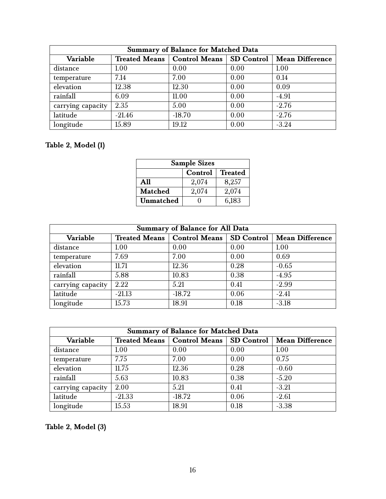| <b>Summary of Balance for Matched Data</b> |          |                                            |      |                        |
|--------------------------------------------|----------|--------------------------------------------|------|------------------------|
| Variable                                   |          | Treated Means   Control Means   SD Control |      | <b>Mean Difference</b> |
| distance                                   | 1.00     | 0.00                                       | 0.00 | 1.00                   |
| temperature                                | 7.14     | 7.00                                       | 0.00 | 0.14                   |
| elevation                                  | 12.38    | 12.30                                      | 0.00 | 0.09                   |
| rainfall                                   | 6.09     | 11.00                                      | 0.00 | $-4.91$                |
| carrying capacity                          | 2.35     | 5.00                                       | 0.00 | $-2.76$                |
| latitude                                   | $-21.46$ | $-18.70$                                   | 0.00 | $-2.76$                |
| longitude                                  | 15.89    | 19.12                                      | 0.00 | $-3.24$                |

#### **Table 2, Model (1)**

| <b>Sample Sizes</b>       |       |       |  |  |  |
|---------------------------|-------|-------|--|--|--|
| <b>Treated</b><br>Control |       |       |  |  |  |
| A11                       | 2,074 | 8,257 |  |  |  |
| <b>Matched</b>            | 2,074 | 2,074 |  |  |  |
| Unmatched                 |       | 6,183 |  |  |  |

| <b>Summary of Balance for All Data</b> |                      |                      |                   |                        |  |
|----------------------------------------|----------------------|----------------------|-------------------|------------------------|--|
| Variable                               | <b>Treated Means</b> | <b>Control Means</b> | <b>SD Control</b> | <b>Mean Difference</b> |  |
| distance                               | 1.00                 | 0.00                 | 0.00              | 1.00                   |  |
| temperature                            | 7.69                 | 7.00                 | 0.00              | 0.69                   |  |
| elevation                              | 11.71                | 12.36                | 0.28              | $-0.65$                |  |
| rainfall                               | 5.88                 | 10.83                | 0.38              | $-4.95$                |  |
| carrying capacity                      | 2.22                 | 5.21                 | 0.41              | $-2.99$                |  |
| latitude                               | $-21.13$             | $-18.72$             | 0.06              | $-2.41$                |  |
| longitude                              | 15.73                | 18.91                | 0.18              | $-3.18$                |  |

| <b>Summary of Balance for Matched Data</b> |                      |                      |                   |                        |  |
|--------------------------------------------|----------------------|----------------------|-------------------|------------------------|--|
| Variable                                   | <b>Treated Means</b> | <b>Control Means</b> | <b>SD Control</b> | <b>Mean Difference</b> |  |
| distance                                   | 1.00                 | 0.00                 | 0.00              | 1.00                   |  |
| temperature                                | 7.75                 | 7.00                 | 0.00              | 0.75                   |  |
| elevation                                  | 11.75                | 12.36                | 0.28              | $-0.60$                |  |
| rainfall                                   | 5.63                 | 10.83                | 0.38              | $-5.20$                |  |
| carrying capacity                          | 2.00                 | 5.21                 | 0.41              | $-3.21$                |  |
| latitude                                   | $-21.33$             | $-18.72$             | 0.06              | $-2.61$                |  |
| longitude                                  | 15.53                | 18.91                | 0.18              | $-3.38$                |  |

**Table 2, Model (3)**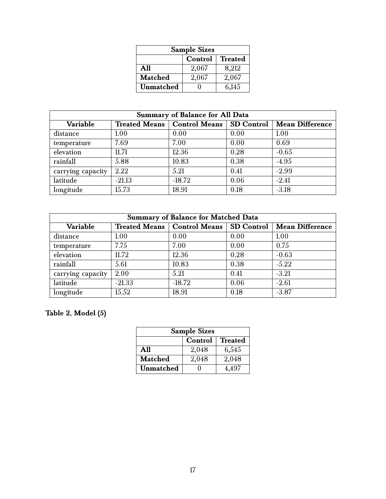| <b>Sample Sizes</b>       |       |       |  |  |  |
|---------------------------|-------|-------|--|--|--|
| <b>Treated</b><br>Control |       |       |  |  |  |
| A11                       | 2,067 | 8,212 |  |  |  |
| <b>Matched</b>            | 2,067 | 2,067 |  |  |  |
| Unmatched                 |       | 6,145 |  |  |  |

| <b>Summary of Balance for All Data</b> |                      |                      |                   |                        |
|----------------------------------------|----------------------|----------------------|-------------------|------------------------|
| Variable                               | <b>Treated Means</b> | <b>Control Means</b> | <b>SD Control</b> | <b>Mean Difference</b> |
| distance                               | 1.00                 | 0.00                 | 0.00              | 1.00                   |
| temperature                            | 7.69                 | 7.00                 | 0.00              | 0.69                   |
| elevation                              | 11.71                | 12.36                | 0.28              | $-0.65$                |
| rainfall                               | 5.88                 | 10.83                | 0.38              | $-4.95$                |
| carrying capacity                      | 2.22                 | 5.21                 | 0.41              | $-2.99$                |
| latitude                               | $-21.13$             | $-18.72$             | 0.06              | $-2.41$                |
| longitude                              | 15.73                | 18.91                | 0.18              | $-3.18$                |

| <b>Summary of Balance for Matched Data</b> |                      |                      |                   |                        |  |
|--------------------------------------------|----------------------|----------------------|-------------------|------------------------|--|
| Variable                                   | <b>Treated Means</b> | <b>Control Means</b> | <b>SD Control</b> | <b>Mean Difference</b> |  |
| distance                                   | 1.00                 | 0.00                 | 0.00              | 1.00                   |  |
| temperature                                | 7.75                 | 7.00                 | 0.00              | 0.75                   |  |
| elevation                                  | 11.72                | 12.36                | 0.28              | $-0.63$                |  |
| rainfall                                   | 5.61                 | 10.83                | 0.38              | $-5.22$                |  |
| carrying capacity                          | 2.00                 | 5.21                 | 0.41              | $-3.21$                |  |
| latitude                                   | $-21.33$             | $-18.72$             | 0.06              | $-2.61$                |  |
| longitude                                  | 15.52                | 18.91                | 0.18              | $-3.87$                |  |

### **Table 2, Model (5)**

| <b>Sample Sizes</b>       |       |       |  |  |  |
|---------------------------|-------|-------|--|--|--|
| <b>Treated</b><br>Control |       |       |  |  |  |
| A11                       | 2,048 | 6,545 |  |  |  |
| <b>Matched</b>            | 2,048 | 2,048 |  |  |  |
| <b>Unmatched</b>          |       | 4.497 |  |  |  |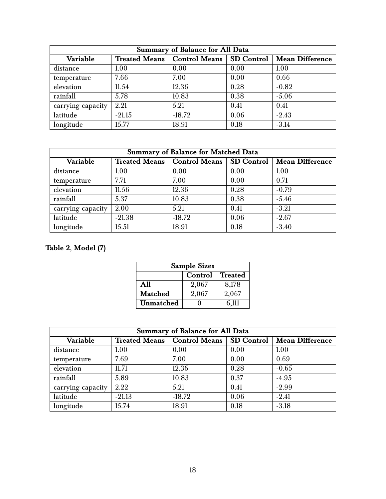| <b>Summary of Balance for All Data</b> |                      |                            |      |                        |
|----------------------------------------|----------------------|----------------------------|------|------------------------|
| Variable                               | <b>Treated Means</b> | Control Means   SD Control |      | <b>Mean Difference</b> |
| distance                               | 1.00                 | 0.00                       | 0.00 | 1.00                   |
| temperature                            | 7.66                 | 7.00                       | 0.00 | 0.66                   |
| elevation                              | 11.54                | 12.36                      | 0.28 | $-0.82$                |
| rainfall                               | 5.78                 | 10.83                      | 0.38 | $-5.06$                |
| carrying capacity                      | 2.21                 | 5.21                       | 0.41 | 0.41                   |
| latitude                               | $-21.15$             | $-18.72$                   | 0.06 | $-2.43$                |
| longitude                              | 15.77                | 18.91                      | 0.18 | $-3.14$                |

| <b>Summary of Balance for Matched Data</b> |                      |                                   |      |                        |
|--------------------------------------------|----------------------|-----------------------------------|------|------------------------|
| Variable                                   | <b>Treated Means</b> | <b>Control Means   SD Control</b> |      | <b>Mean Difference</b> |
| distance                                   | 1.00                 | 0.00                              | 0.00 | 1.00                   |
| temperature                                | 7.71                 | 7.00                              | 0.00 | 0.71                   |
| elevation                                  | 11.56                | 12.36                             | 0.28 | $-0.79$                |
| rainfall                                   | 5.37                 | 10.83                             | 0.38 | $-5.46$                |
| carrying capacity                          | 2.00                 | 5.21                              | 0.41 | $-3.21$                |
| latitude                                   | $-21.38$             | $-18.72$                          | 0.06 | $-2.67$                |
| longitude                                  | 15.51                | 18.91                             | 0.18 | $-3.40$                |

### **Table 2, Model (7)**

| <b>Sample Sizes</b>       |       |       |  |  |  |
|---------------------------|-------|-------|--|--|--|
| <b>Treated</b><br>Control |       |       |  |  |  |
| A11                       | 2,067 | 8,178 |  |  |  |
| <b>Matched</b>            | 2,067 | 2,067 |  |  |  |
| Unmatched                 |       | 6.111 |  |  |  |

| <b>Summary of Balance for All Data</b> |                      |                      |                   |                        |  |
|----------------------------------------|----------------------|----------------------|-------------------|------------------------|--|
| Variable                               | <b>Treated Means</b> | <b>Control Means</b> | <b>SD Control</b> | <b>Mean Difference</b> |  |
| distance                               | 1.00                 | 0.00                 | 0.00              | 1.00                   |  |
| temperature                            | 7.69                 | 7.00                 | 0.00              | 0.69                   |  |
| elevation                              | 11.71                | 12.36                | 0.28              | $-0.65$                |  |
| rainfall                               | 5.89                 | 10.83                | 0.37              | $-4.95$                |  |
| carrying capacity                      | 2.22                 | 5.21                 | 0.41              | $-2.99$                |  |
| latitude                               | $-21.13$             | $-18.72$             | 0.06              | $-2.41$                |  |
| longitude                              | 15.74                | 18.91                | 0.18              | $-3.18$                |  |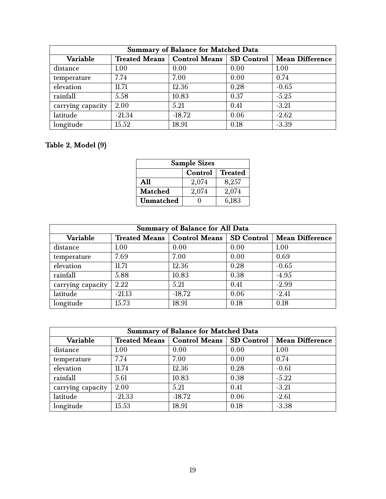| <b>Summary of Balance for Matched Data</b> |               |                                 |      |                        |
|--------------------------------------------|---------------|---------------------------------|------|------------------------|
| Variable                                   | Treated Means | <b>Control Means SD Control</b> |      | <b>Mean Difference</b> |
| distance                                   | 1.00          | 0.00                            | 0.00 | 1.00                   |
| temperature                                | 7.74          | 7.00                            | 0.00 | 0.74                   |
| elevation                                  | 11.71         | 12.36                           | 0.28 | $-0.65$                |
| rainfall                                   | 5.58          | 10.83                           | 0.37 | $-5.25$                |
| carrying capacity                          | 2.00          | 5.21                            | 0.41 | $-3.21$                |
| latitude                                   | $-21.34$      | $-18.72$                        | 0.06 | $-2.62$                |
| longitude                                  | 15.52         | 18.91                           | 0.18 | $-3.39$                |

### **Table 2, Model (9)**

| <b>Sample Sizes</b>       |       |       |  |  |  |
|---------------------------|-------|-------|--|--|--|
| <b>Treated</b><br>Control |       |       |  |  |  |
| A11                       | 2,074 | 8,257 |  |  |  |
| <b>Matched</b>            | 2,074 | 2,074 |  |  |  |
| Unmatched                 |       | 6,183 |  |  |  |

| <b>Summary of Balance for All Data</b> |                      |                            |      |                        |  |
|----------------------------------------|----------------------|----------------------------|------|------------------------|--|
| Variable                               | <b>Treated Means</b> | Control Means   SD Control |      | <b>Mean Difference</b> |  |
| distance                               | 1.00                 | 0.00                       | 0.00 | 1.00                   |  |
| temperature                            | 7.69                 | 7.00                       | 0.00 | 0.69                   |  |
| elevation                              | 11.71                | 12.36                      | 0.28 | $-0.65$                |  |
| rainfall                               | 5.88                 | 10.83                      | 0.38 | $-4.95$                |  |
| carrying capacity                      | 2.22                 | 5.21                       | 0.41 | $-2.99$                |  |
| latitude                               | $-21.13$             | $-18.72$                   | 0.06 | $-2.41$                |  |
| longitude                              | 15.73                | 18.91                      | 0.18 | 0.18                   |  |

| <b>Summary of Balance for Matched Data</b> |                      |                      |                   |                        |  |
|--------------------------------------------|----------------------|----------------------|-------------------|------------------------|--|
| Variable                                   | <b>Treated Means</b> | <b>Control Means</b> | <b>SD Control</b> | <b>Mean Difference</b> |  |
| distance                                   | 1.00                 | 0.00                 | 0.00              | 1.00                   |  |
| temperature                                | 7.74                 | 7.00                 | 0.00              | 0.74                   |  |
| elevation                                  | 11.74                | 12.36                | 0.28              | $-0.61$                |  |
| rainfall                                   | 5.61                 | 10.83                | 0.38              | $-5.22$                |  |
| carrying capacity                          | 2.00                 | 5.21                 | 0.41              | $-3.21$                |  |
| latitude                                   | $-21.33$             | $-18.72$             | 0.06              | $-2.61$                |  |
| longitude                                  | 15.53                | 18.91                | 0.18              | $-3.38$                |  |